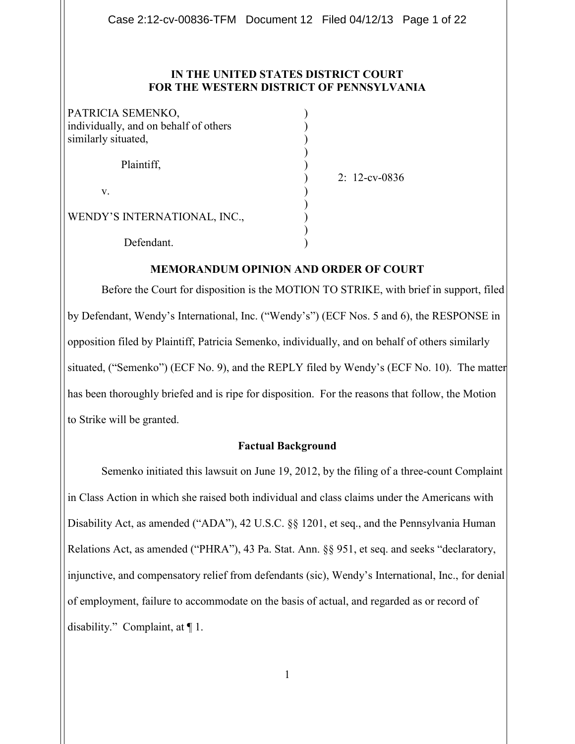## **IN THE UNITED STATES DISTRICT COURT FOR THE WESTERN DISTRICT OF PENNSYLVANIA**

| PATRICIA SEMENKO,<br>individually, and on behalf of others<br>similarly situated, |  |
|-----------------------------------------------------------------------------------|--|
| Plaintiff,                                                                        |  |
| V.                                                                                |  |
| WENDY'S INTERNATIONAL, INC.,                                                      |  |
| Defendant.                                                                        |  |

) 2: 12-cv-0836

#### **MEMORANDUM OPINION AND ORDER OF COURT**

Before the Court for disposition is the MOTION TO STRIKE, with brief in support, filed by Defendant, Wendy's International, Inc. ("Wendy's") (ECF Nos. 5 and 6), the RESPONSE in opposition filed by Plaintiff, Patricia Semenko, individually, and on behalf of others similarly situated, ("Semenko") (ECF No. 9), and the REPLY filed by Wendy's (ECF No. 10). The matter has been thoroughly briefed and is ripe for disposition. For the reasons that follow, the Motion to Strike will be granted.

#### **Factual Background**

Semenko initiated this lawsuit on June 19, 2012, by the filing of a three-count Complaint in Class Action in which she raised both individual and class claims under the Americans with Disability Act, as amended ("ADA"), 42 U.S.C. §§ 1201, et seq., and the Pennsylvania Human Relations Act, as amended ("PHRA"), 43 Pa. Stat. Ann. §§ 951, et seq. and seeks "declaratory, injunctive, and compensatory relief from defendants (sic), Wendy's International, Inc., for denial of employment, failure to accommodate on the basis of actual, and regarded as or record of disability." Complaint, at ¶ 1.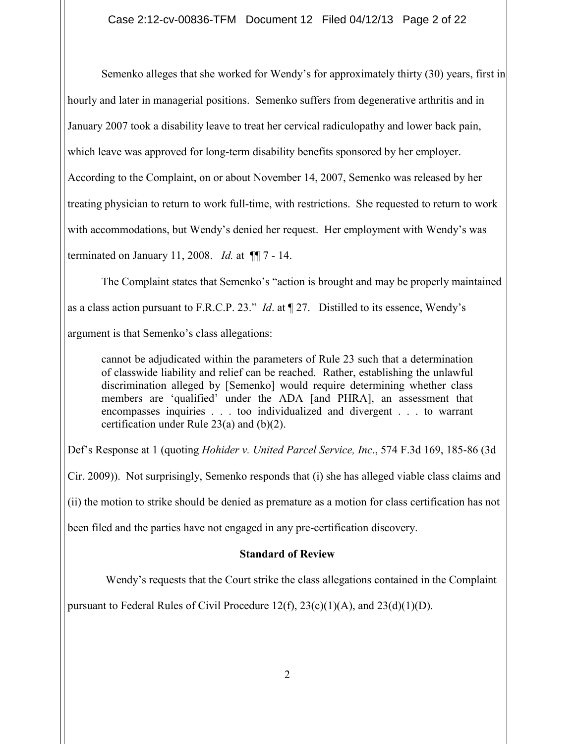Semenko alleges that she worked for Wendy's for approximately thirty (30) years, first in hourly and later in managerial positions. Semenko suffers from degenerative arthritis and in January 2007 took a disability leave to treat her cervical radiculopathy and lower back pain, which leave was approved for long-term disability benefits sponsored by her employer. According to the Complaint, on or about November 14, 2007, Semenko was released by her treating physician to return to work full-time, with restrictions. She requested to return to work with accommodations, but Wendy's denied her request. Her employment with Wendy's was terminated on January 11, 2008. *Id.* at ¶¶ 7 - 14.

The Complaint states that Semenko's "action is brought and may be properly maintained as a class action pursuant to F.R.C.P. 23." *Id*. at ¶ 27. Distilled to its essence, Wendy's argument is that Semenko's class allegations:

cannot be adjudicated within the parameters of Rule 23 such that a determination of classwide liability and relief can be reached. Rather, establishing the unlawful discrimination alleged by [Semenko] would require determining whether class members are 'qualified' under the ADA [and PHRA], an assessment that encompasses inquiries . . . too individualized and divergent . . . to warrant certification under Rule 23(a) and (b)(2).

Def's Response at 1 (quoting *Hohider v. United Parcel Service, Inc*., 574 F.3d 169, 185-86 (3d

Cir. 2009)). Not surprisingly, Semenko responds that (i) she has alleged viable class claims and

(ii) the motion to strike should be denied as premature as a motion for class certification has not

been filed and the parties have not engaged in any pre-certification discovery.

# **Standard of Review**

Wendy's requests that the Court strike the class allegations contained in the Complaint

pursuant to Federal Rules of Civil Procedure 12(f),  $23(c)(1)(A)$ , and  $23(d)(1)(D)$ .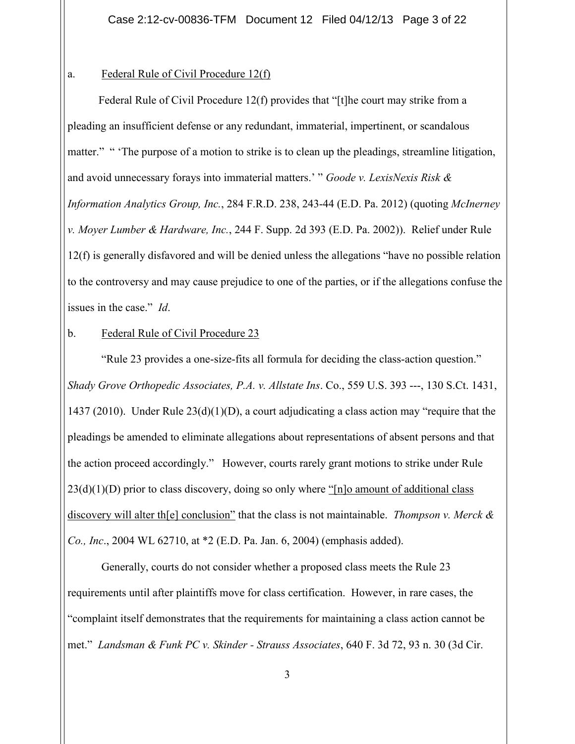## a. Federal Rule of Civil Procedure 12(f)

Federal Rule of Civil Procedure 12(f) provides that "[t]he court may strike from a pleading an insufficient defense or any redundant, immaterial, impertinent, or scandalous matter." " The purpose of a motion to strike is to clean up the pleadings, streamline litigation, and avoid unnecessary forays into immaterial matters.' " *Goode v. LexisNexis Risk & Information Analytics Group, Inc.*, 284 F.R.D. 238, 243-44 (E.D. Pa. 2012) (quoting *McInerney v. Moyer Lumber & Hardware, Inc.*, 244 F. Supp. 2d 393 (E.D. Pa. 2002)). Relief under Rule 12(f) is generally disfavored and will be denied unless the allegations "have no possible relation to the controversy and may cause prejudice to one of the parties, or if the allegations confuse the issues in the case." *Id*.

# b. Federal Rule of Civil Procedure 23

"Rule 23 provides a one-size-fits all formula for deciding the class-action question." *Shady Grove Orthopedic Associates, P.A. v. Allstate Ins*. Co., 559 U.S. 393 ---, 130 S.Ct. 1431, 1437 (2010). Under Rule  $23(d)(1)(D)$ , a court adjudicating a class action may "require that the pleadings be amended to eliminate allegations about representations of absent persons and that the action proceed accordingly." However, courts rarely grant motions to strike under Rule  $23(d)(1)(D)$  prior to class discovery, doing so only where "[n]o amount of additional class discovery will alter th[e] conclusion" that the class is not maintainable. *Thompson v. Merck & Co., Inc*., 2004 WL 62710, at \*2 (E.D. Pa. Jan. 6, 2004) (emphasis added).

Generally, courts do not consider whether a proposed class meets the Rule 23 requirements until after plaintiffs move for class certification. However, in rare cases, the "complaint itself demonstrates that the requirements for maintaining a class action cannot be met." *Landsman & Funk PC v. Skinder - Strauss Associates*, 640 F. 3d 72, 93 n. 30 (3d Cir.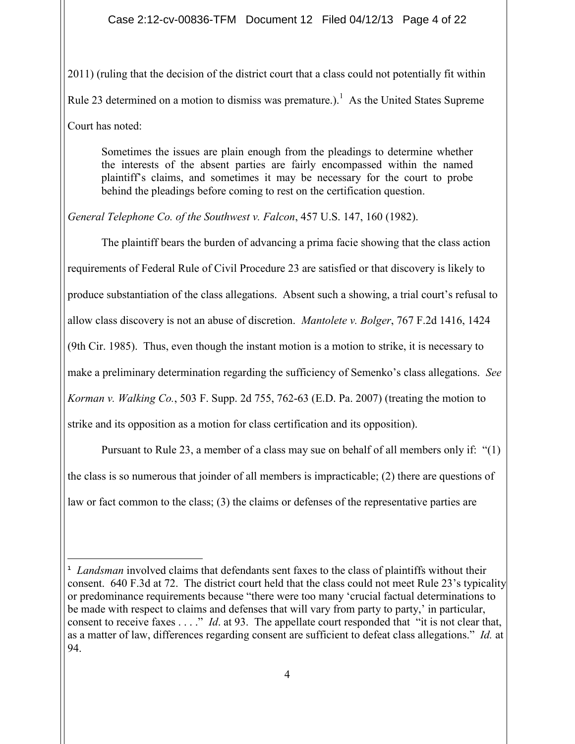2011) (ruling that the decision of the district court that a class could not potentially fit within Rule 23 determined on a motion to dismiss was premature.).<sup>1</sup> As the United States Supreme Court has noted:

Sometimes the issues are plain enough from the pleadings to determine whether the interests of the absent parties are fairly encompassed within the named plaintiff's claims, and sometimes it may be necessary for the court to probe behind the pleadings before coming to rest on the certification question.

*General Telephone Co. of the Southwest v. Falcon*, 457 U.S. 147, 160 (1982).

The plaintiff bears the burden of advancing a prima facie showing that the class action requirements of Federal Rule of Civil Procedure 23 are satisfied or that discovery is likely to produce substantiation of the class allegations. Absent such a showing, a trial court's refusal to allow class discovery is not an abuse of discretion. *Mantolete v. Bolger*, 767 F.2d 1416, 1424 (9th Cir. 1985). Thus, even though the instant motion is a motion to strike, it is necessary to make a preliminary determination regarding the sufficiency of Semenko's class allegations. *See Korman v. Walking Co.*, 503 F. Supp. 2d 755, 762-63 (E.D. Pa. 2007) (treating the motion to strike and its opposition as a motion for class certification and its opposition).

Pursuant to Rule 23, a member of a class may sue on behalf of all members only if: "(1) the class is so numerous that joinder of all members is impracticable; (2) there are questions of

law or fact common to the class; (3) the claims or defenses of the representative parties are

**<sup>1</sup>** *Landsman* involved claims that defendants sent faxes to the class of plaintiffs without their consent. 640 F.3d at 72. The district court held that the class could not meet Rule 23's typicality or predominance requirements because "there were too many 'crucial factual determinations to be made with respect to claims and defenses that will vary from party to party,' in particular, consent to receive faxes . . . ." *Id*. at 93. The appellate court responded that "it is not clear that, as a matter of law, differences regarding consent are sufficient to defeat class allegations." *Id.* at 94.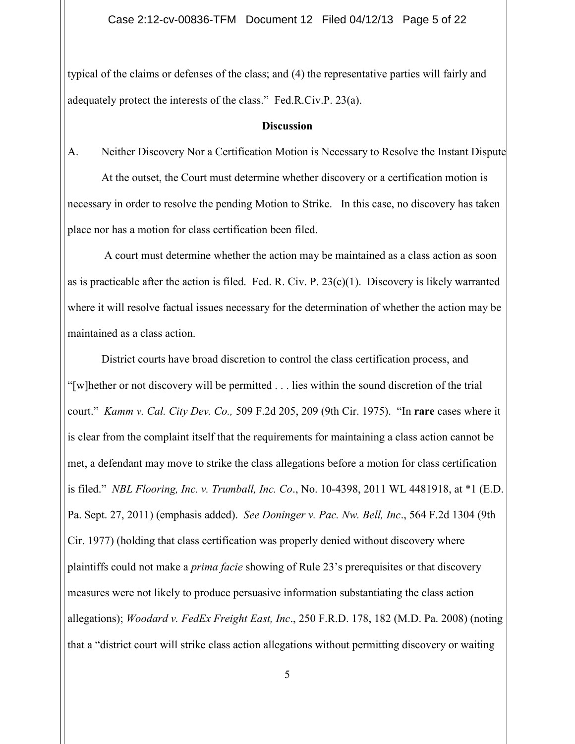typical of the claims or defenses of the class; and (4) the representative parties will fairly and adequately protect the interests of the class." Fed.R.Civ.P. 23(a).

#### **Discussion**

# A. Neither Discovery Nor a Certification Motion is Necessary to Resolve the Instant Dispute

At the outset, the Court must determine whether discovery or a certification motion is necessary in order to resolve the pending Motion to Strike. In this case, no discovery has taken place nor has a motion for class certification been filed.

A court must determine whether the action may be maintained as a class action as soon as is practicable after the action is filed. Fed. R. Civ. P.  $23(c)(1)$ . Discovery is likely warranted where it will resolve factual issues necessary for the determination of whether the action may be maintained as a class action.

District courts have broad discretion to control the class certification process, and "[w]hether or not discovery will be permitted . . . lies within the sound discretion of the trial court." *Kamm v. Cal. City Dev. Co.,* 509 F.2d 205, 209 (9th Cir. 1975). "In **rare** cases where it is clear from the complaint itself that the requirements for maintaining a class action cannot be met, a defendant may move to strike the class allegations before a motion for class certification is filed." *NBL Flooring, Inc. v. Trumball, Inc. Co*., No. 10-4398, 2011 WL 4481918, at \*1 (E.D. Pa. Sept. 27, 2011) (emphasis added). *See Doninger v. Pac. Nw. Bell, Inc*., 564 F.2d 1304 (9th Cir. 1977) (holding that class certification was properly denied without discovery where plaintiffs could not make a *prima facie* showing of Rule 23's prerequisites or that discovery measures were not likely to produce persuasive information substantiating the class action allegations); *Woodard v. FedEx Freight East, Inc*., 250 F.R.D. 178, 182 (M.D. Pa. 2008) (noting that a "district court will strike class action allegations without permitting discovery or waiting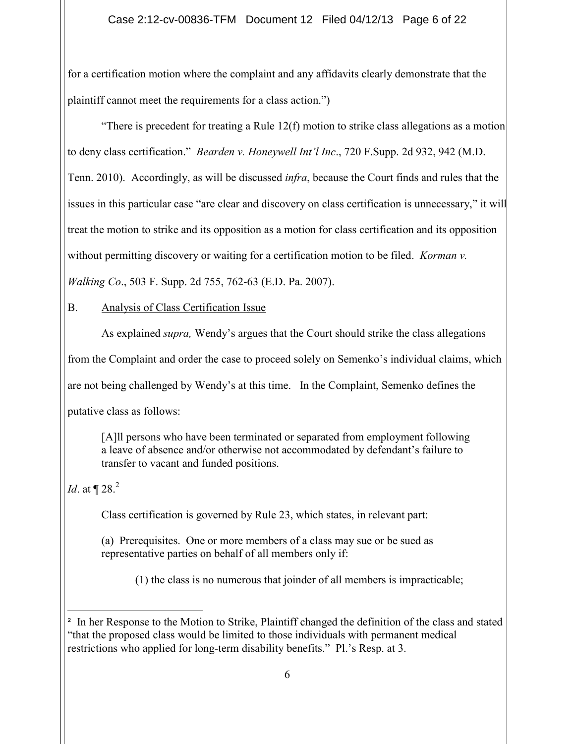# Case 2:12-cv-00836-TFM Document 12 Filed 04/12/13 Page 6 of 22

for a certification motion where the complaint and any affidavits clearly demonstrate that the plaintiff cannot meet the requirements for a class action.")

"There is precedent for treating a Rule  $12(f)$  motion to strike class allegations as a motion to deny class certification." *Bearden v. Honeywell Int'l Inc*., 720 F.Supp. 2d 932, 942 (M.D. Tenn. 2010). Accordingly, as will be discussed *infra*, because the Court finds and rules that the issues in this particular case "are clear and discovery on class certification is unnecessary," it will treat the motion to strike and its opposition as a motion for class certification and its opposition without permitting discovery or waiting for a certification motion to be filed. *Korman v. Walking Co*., 503 F. Supp. 2d 755, 762-63 (E.D. Pa. 2007).

B. Analysis of Class Certification Issue

As explained *supra,* Wendy's argues that the Court should strike the class allegations from the Complaint and order the case to proceed solely on Semenko's individual claims, which are not being challenged by Wendy's at this time. In the Complaint, Semenko defines the putative class as follows:

[A]ll persons who have been terminated or separated from employment following a leave of absence and/or otherwise not accommodated by defendant's failure to transfer to vacant and funded positions.

*Id.* at  $\P$  28.<sup>2</sup>

Class certification is governed by Rule 23, which states, in relevant part:

(a) Prerequisites. One or more members of a class may sue or be sued as representative parties on behalf of all members only if:

(1) the class is no numerous that joinder of all members is impracticable;

<sup>&</sup>lt;sup>2</sup> In her Response to the Motion to Strike, Plaintiff changed the definition of the class and stated "that the proposed class would be limited to those individuals with permanent medical restrictions who applied for long-term disability benefits." Pl.'s Resp. at 3.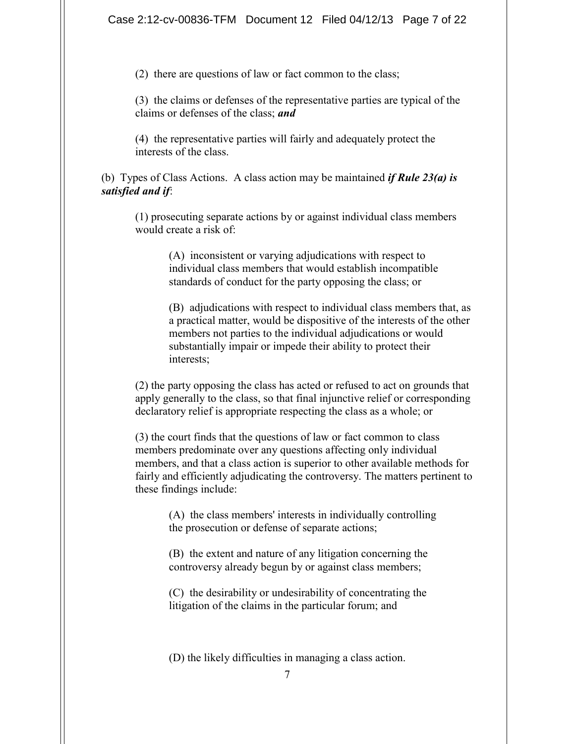(2) there are questions of law or fact common to the class;

(3) the claims or defenses of the representative parties are typical of the claims or defenses of the class; *and*

(4) the representative parties will fairly and adequately protect the interests of the class.

(b) Types of Class Actions. A class action may be maintained *if Rule 23(a) is satisfied and if*:

(1) prosecuting separate actions by or against individual class members would create a risk of:

> (A) inconsistent or varying adjudications with respect to individual class members that would establish incompatible standards of conduct for the party opposing the class; or

(B) adjudications with respect to individual class members that, as a practical matter, would be dispositive of the interests of the other members not parties to the individual adjudications or would substantially impair or impede their ability to protect their interests;

(2) the party opposing the class has acted or refused to act on grounds that apply generally to the class, so that final injunctive relief or corresponding declaratory relief is appropriate respecting the class as a whole; or

(3) the court finds that the questions of law or fact common to class members predominate over any questions affecting only individual members, and that a class action is superior to other available methods for fairly and efficiently adjudicating the controversy. The matters pertinent to these findings include:

(A) the class members' interests in individually controlling the prosecution or defense of separate actions;

(B) the extent and nature of any litigation concerning the controversy already begun by or against class members;

(C) the desirability or undesirability of concentrating the litigation of the claims in the particular forum; and

(D) the likely difficulties in managing a class action.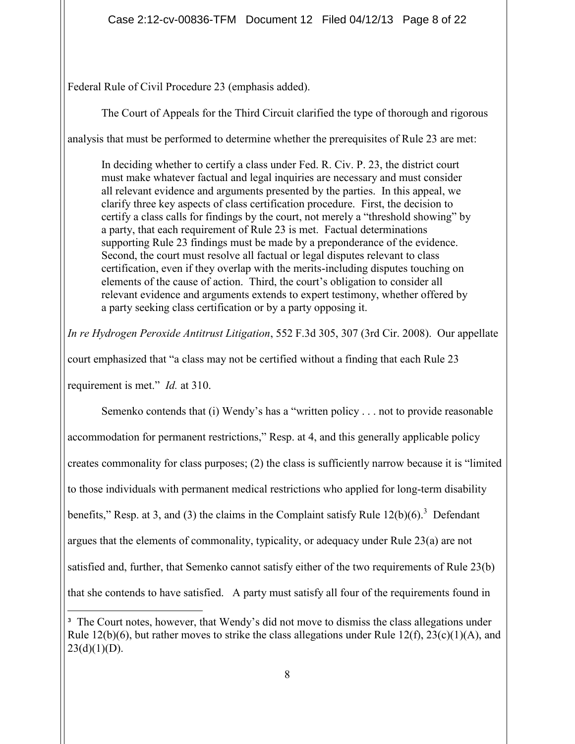Federal Rule of Civil Procedure 23 (emphasis added).

The Court of Appeals for the Third Circuit clarified the type of thorough and rigorous

analysis that must be performed to determine whether the prerequisites of Rule 23 are met:

In deciding whether to certify a class under Fed. R. Civ. P. 23, the district court must make whatever factual and legal inquiries are necessary and must consider all relevant evidence and arguments presented by the parties. In this appeal, we clarify three key aspects of class certification procedure. First, the decision to certify a class calls for findings by the court, not merely a "threshold showing" by a party, that each requirement of Rule 23 is met. Factual determinations supporting Rule 23 findings must be made by a preponderance of the evidence. Second, the court must resolve all factual or legal disputes relevant to class certification, even if they overlap with the merits-including disputes touching on elements of the cause of action. Third, the court's obligation to consider all relevant evidence and arguments extends to expert testimony, whether offered by a party seeking class certification or by a party opposing it.

*In re Hydrogen Peroxide Antitrust Litigation*, 552 F.3d 305, 307 (3rd Cir. 2008). Our appellate

court emphasized that "a class may not be certified without a finding that each Rule 23

requirement is met." *Id.* at 310.

Semenko contends that (i) Wendy's has a "written policy . . . not to provide reasonable accommodation for permanent restrictions," Resp. at 4, and this generally applicable policy creates commonality for class purposes; (2) the class is sufficiently narrow because it is "limited to those individuals with permanent medical restrictions who applied for long-term disability benefits," Resp. at 3, and (3) the claims in the Complaint satisfy Rule  $12(b)(6)$ .<sup>3</sup> Defendant argues that the elements of commonality, typicality, or adequacy under Rule 23(a) are not satisfied and, further, that Semenko cannot satisfy either of the two requirements of Rule 23(b) that she contends to have satisfied. A party must satisfy all four of the requirements found in

**<sup>3</sup>** The Court notes, however, that Wendy's did not move to dismiss the class allegations under Rule 12(b)(6), but rather moves to strike the class allegations under Rule 12(f),  $23(c)(1)(A)$ , and  $23(d)(1)(D)$ .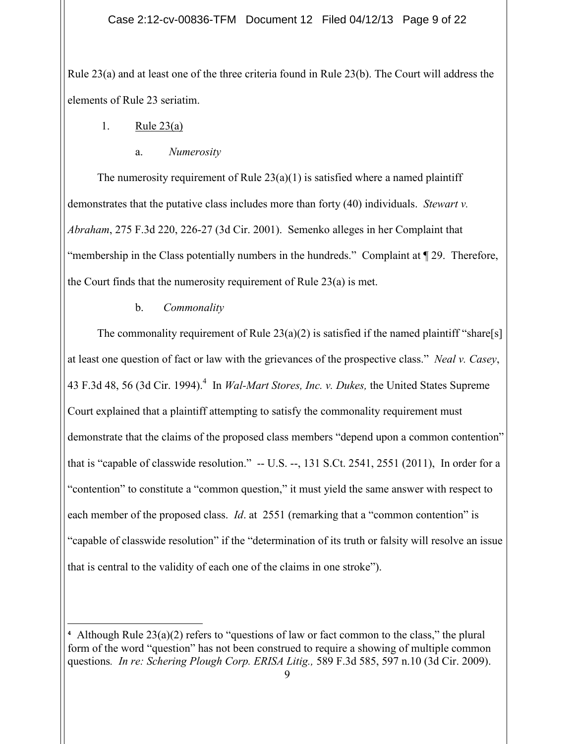Rule 23(a) and at least one of the three criteria found in Rule 23(b). The Court will address the elements of Rule 23 seriatim.

# 1. Rule 23(a)

### a. *Numerosity*

The numerosity requirement of Rule  $23(a)(1)$  is satisfied where a named plaintiff demonstrates that the putative class includes more than forty (40) individuals. *Stewart v. Abraham*, 275 F.3d 220, 226-27 (3d Cir. 2001). Semenko alleges in her Complaint that "membership in the Class potentially numbers in the hundreds." Complaint at ¶ 29. Therefore, the Court finds that the numerosity requirement of Rule 23(a) is met.

## b. *Commonality*

The commonality requirement of Rule  $23(a)(2)$  is satisfied if the named plaintiff "share[s] at least one question of fact or law with the grievances of the prospective class." *Neal v. Casey*, 43 F.3d 48, 56 (3d Cir. 1994).<sup>4</sup> In *Wal-Mart Stores, Inc. v. Dukes,* the United States Supreme Court explained that a plaintiff attempting to satisfy the commonality requirement must demonstrate that the claims of the proposed class members "depend upon a common contention" that is "capable of classwide resolution." -- U.S. --, 131 S.Ct. 2541, 2551 (2011), In order for a "contention" to constitute a "common question," it must yield the same answer with respect to each member of the proposed class. *Id*. at 2551 (remarking that a "common contention" is "capable of classwide resolution" if the "determination of its truth or falsity will resolve an issue that is central to the validity of each one of the claims in one stroke").

**<sup>4</sup>** Although Rule 23(a)(2) refers to "questions of law or fact common to the class," the plural form of the word "question" has not been construed to require a showing of multiple common questions*. In re: Schering Plough Corp. ERISA Litig.,* 589 F.3d 585, 597 n.10 (3d Cir. 2009).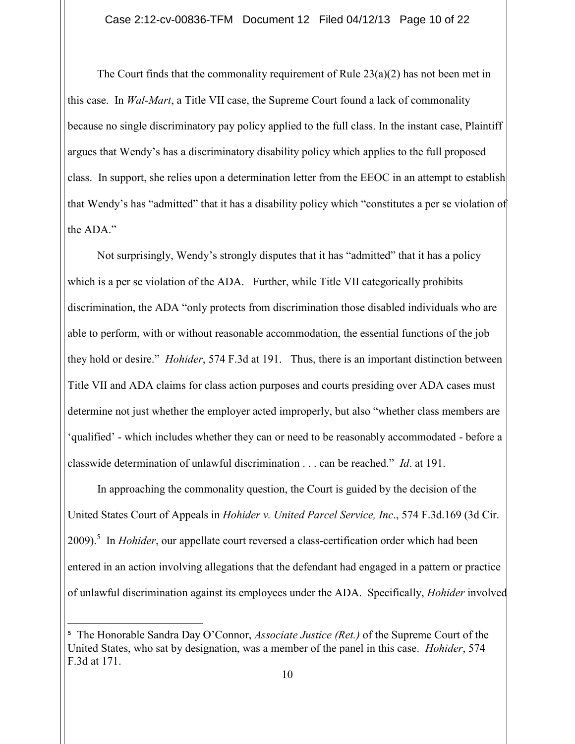The Court finds that the commonality requirement of Rule  $23(a)(2)$  has not been met in this case. In *Wal-Mart*, a Title VII case, the Supreme Court found a lack of commonality because no single discriminatory pay policy applied to the full class. In the instant case, Plaintiff argues that Wendy's has a discriminatory disability policy which applies to the full proposed class. In support, she relies upon a determination letter from the EEOC in an attempt to establish that Wendy's has "admitted" that it has a disability policy which "constitutes a per se violation of the ADA."

Not surprisingly, Wendy's strongly disputes that it has "admitted" that it has a policy which is a per se violation of the ADA. Further, while Title VII categorically prohibits discrimination, the ADA "only protects from discrimination those disabled individuals who are able to perform, with or without reasonable accommodation, the essential functions of the job they hold or desire." *Hohider*, 574 F.3d at 191. Thus, there is an important distinction between Title VII and ADA claims for class action purposes and courts presiding over ADA cases must determine not just whether the employer acted improperly, but also "whether class members are 'qualified' - which includes whether they can or need to be reasonably accommodated - before a classwide determination of unlawful discrimination . . . can be reached." *Id*. at 191.

In approaching the commonality question, the Court is guided by the decision of the United States Court of Appeals in *Hohider v. United Parcel Service, Inc*., 574 F.3d.169 (3d Cir. 2009).<sup>5</sup> In *Hohider*, our appellate court reversed a class-certification order which had been entered in an action involving allegations that the defendant had engaged in a pattern or practice of unlawful discrimination against its employees under the ADA. Specifically, *Hohider* involved

**<sup>5</sup>** The Honorable Sandra Day O'Connor, *Associate Justice (Ret.)* of the Supreme Court of the United States, who sat by designation, was a member of the panel in this case. *Hohider*, 574 F.3d at 171.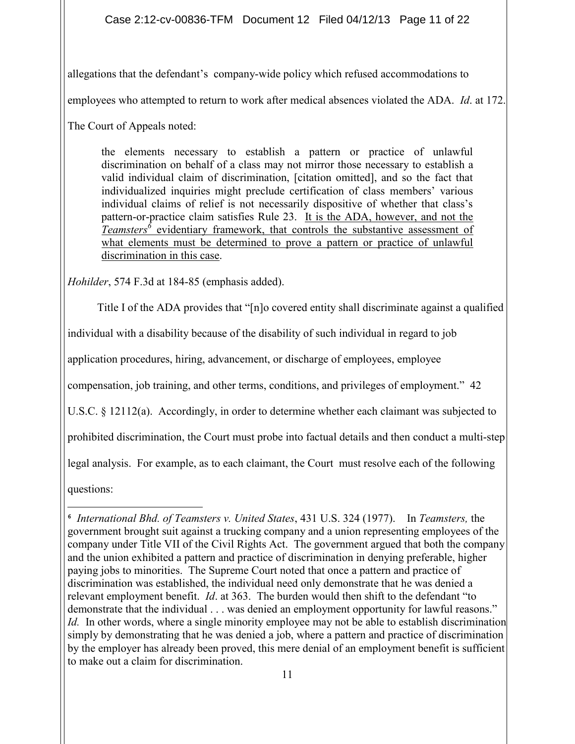Case 2:12-cv-00836-TFM Document 12 Filed 04/12/13 Page 11 of 22

allegations that the defendant's company-wide policy which refused accommodations to

employees who attempted to return to work after medical absences violated the ADA. *Id*. at 172.

The Court of Appeals noted:

the elements necessary to establish a pattern or practice of unlawful discrimination on behalf of a class may not mirror those necessary to establish a valid individual claim of discrimination, [citation omitted], and so the fact that individualized inquiries might preclude certification of class members' various individual claims of relief is not necessarily dispositive of whether that class's pattern-or-practice claim satisfies Rule 23. It is the ADA, however, and not the *Teamsters*<sup> $\delta$ </sup> evidentiary framework, that controls the substantive assessment of what elements must be determined to prove a pattern or practice of unlawful discrimination in this case.

*Hohilder*, 574 F.3d at 184-85 (emphasis added).

Title I of the ADA provides that "[n]o covered entity shall discriminate against a qualified

individual with a disability because of the disability of such individual in regard to job

application procedures, hiring, advancement, or discharge of employees, employee

compensation, job training, and other terms, conditions, and privileges of employment." 42

U.S.C. § 12112(a). Accordingly, in order to determine whether each claimant was subjected to

prohibited discrimination, the Court must probe into factual details and then conduct a multi-step

legal analysis. For example, as to each claimant, the Court must resolve each of the following

questions:

 **6** *International Bhd. of Teamsters v. United States*, 431 U.S. 324 (1977).In *Teamsters,* the government brought suit against a trucking company and a union representing employees of the company under Title VII of the Civil Rights Act. The government argued that both the company and the union exhibited a pattern and practice of discrimination in denying preferable, higher paying jobs to minorities. The Supreme Court noted that once a pattern and practice of discrimination was established, the individual need only demonstrate that he was denied a relevant employment benefit. *Id*. at 363. The burden would then shift to the defendant "to demonstrate that the individual . . . was denied an employment opportunity for lawful reasons." *Id.* In other words, where a single minority employee may not be able to establish discrimination simply by demonstrating that he was denied a job, where a pattern and practice of discrimination by the employer has already been proved, this mere denial of an employment benefit is sufficient to make out a claim for discrimination.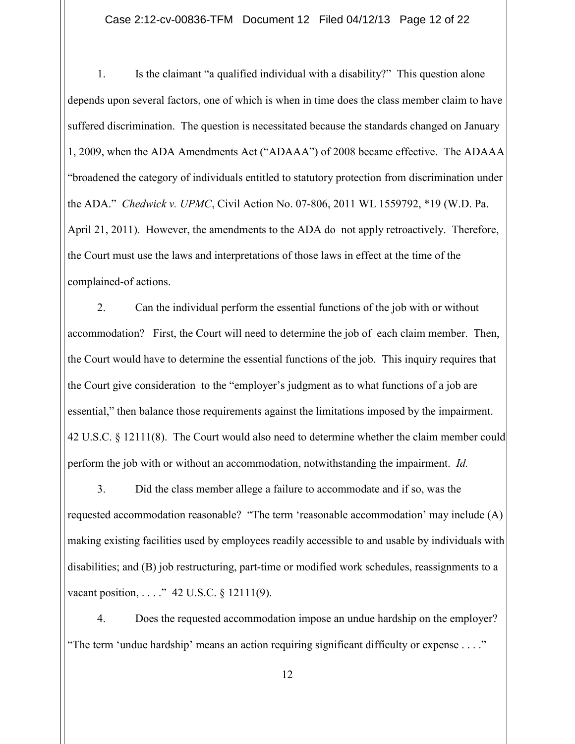Case 2:12-cv-00836-TFM Document 12 Filed 04/12/13 Page 12 of 22

1. Is the claimant "a qualified individual with a disability?" This question alone depends upon several factors, one of which is when in time does the class member claim to have suffered discrimination. The question is necessitated because the standards changed on January 1, 2009, when the ADA Amendments Act ("ADAAA") of 2008 became effective. The ADAAA "broadened the category of individuals entitled to statutory protection from discrimination under the ADA." *Chedwick v. UPMC*, Civil Action No. 07-806, 2011 WL 1559792, \*19 (W.D. Pa. April 21, 2011). However, the amendments to the ADA do not apply retroactively. Therefore, the Court must use the laws and interpretations of those laws in effect at the time of the complained-of actions.

2. Can the individual perform the essential functions of the job with or without accommodation? First, the Court will need to determine the job of each claim member. Then, the Court would have to determine the essential functions of the job. This inquiry requires that the Court give consideration to the "employer's judgment as to what functions of a job are essential," then balance those requirements against the limitations imposed by the impairment. 42 U.S.C. § 12111(8). The Court would also need to determine whether the claim member could perform the job with or without an accommodation, notwithstanding the impairment. *Id.*

3. Did the class member allege a failure to accommodate and if so, was the requested accommodation reasonable? "The term 'reasonable accommodation' may include (A) making existing facilities used by employees readily accessible to and usable by individuals with disabilities; and (B) job restructuring, part-time or modified work schedules, reassignments to a vacant position, . . . . " 42 U.S.C. § 12111(9).

4. Does the requested accommodation impose an undue hardship on the employer? "The term 'undue hardship' means an action requiring significant difficulty or expense . . . ."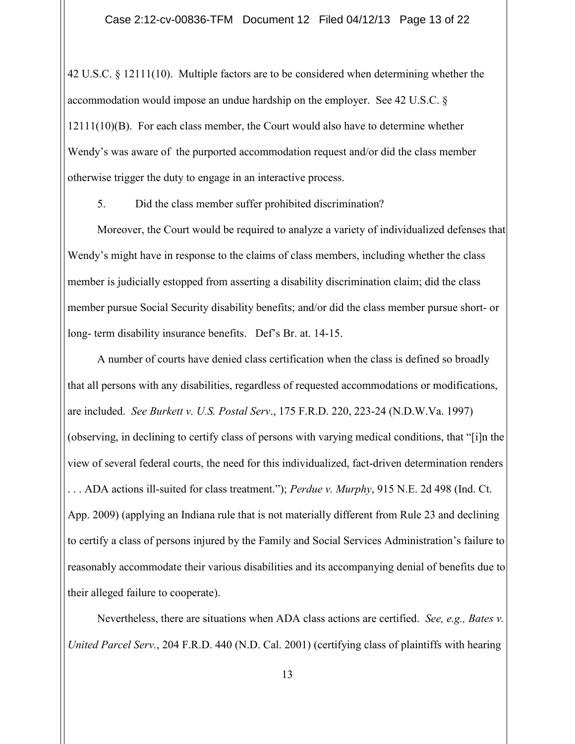42 U.S.C. § 12111(10). Multiple factors are to be considered when determining whether the accommodation would impose an undue hardship on the employer. See 42 U.S.C. §  $12111(10)(B)$ . For each class member, the Court would also have to determine whether Wendy's was aware of the purported accommodation request and/or did the class member otherwise trigger the duty to engage in an interactive process.

5. Did the class member suffer prohibited discrimination?

Moreover, the Court would be required to analyze a variety of individualized defenses that Wendy's might have in response to the claims of class members, including whether the class member is judicially estopped from asserting a disability discrimination claim; did the class member pursue Social Security disability benefits; and/or did the class member pursue short- or long- term disability insurance benefits. Def's Br. at. 14-15.

A number of courts have denied class certification when the class is defined so broadly that all persons with any disabilities, regardless of requested accommodations or modifications, are included. *See Burkett v. U.S. Postal Serv*., 175 F.R.D. 220, 223-24 (N.D.W.Va. 1997) (observing, in declining to certify class of persons with varying medical conditions, that "[i]n the view of several federal courts, the need for this individualized, fact-driven determination renders . . . ADA actions ill-suited for class treatment."); *Perdue v. Murphy*, 915 N.E. 2d 498 (Ind. Ct. App. 2009) (applying an Indiana rule that is not materially different from Rule 23 and declining to certify a class of persons injured by the Family and Social Services Administration's failure to reasonably accommodate their various disabilities and its accompanying denial of benefits due to their alleged failure to cooperate).

Nevertheless, there are situations when ADA class actions are certified. *See, e.g., Bates v. United Parcel Serv.*, 204 F.R.D. 440 (N.D. Cal. 2001) (certifying class of plaintiffs with hearing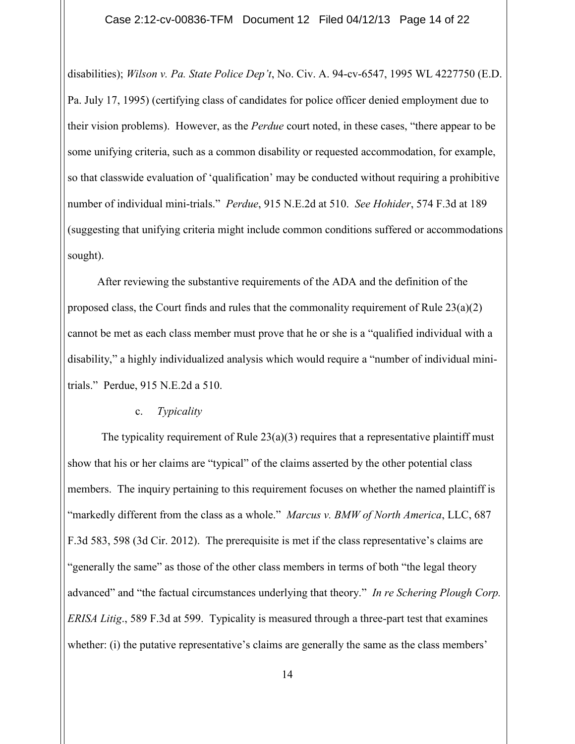Case 2:12-cv-00836-TFM Document 12 Filed 04/12/13 Page 14 of 22

disabilities); *Wilson v. Pa. State Police Dep't*, No. Civ. A. 94-cv-6547, 1995 WL 4227750 (E.D. Pa. July 17, 1995) (certifying class of candidates for police officer denied employment due to their vision problems). However, as the *Perdue* court noted, in these cases, "there appear to be some unifying criteria, such as a common disability or requested accommodation, for example, so that classwide evaluation of 'qualification' may be conducted without requiring a prohibitive number of individual mini-trials." *Perdue*, 915 N.E.2d at 510. *See Hohider*, 574 F.3d at 189 (suggesting that unifying criteria might include common conditions suffered or accommodations sought).

After reviewing the substantive requirements of the ADA and the definition of the proposed class, the Court finds and rules that the commonality requirement of Rule  $23(a)(2)$ cannot be met as each class member must prove that he or she is a "qualified individual with a disability," a highly individualized analysis which would require a "number of individual minitrials." Perdue, 915 N.E.2d a 510.

#### c. *Typicality*

The typicality requirement of Rule  $23(a)(3)$  requires that a representative plaintiff must show that his or her claims are "typical" of the claims asserted by the other potential class members. The inquiry pertaining to this requirement focuses on whether the named plaintiff is "markedly different from the class as a whole." *Marcus v. BMW of North America*, LLC, 687 F.3d 583, 598 (3d Cir. 2012). The prerequisite is met if the class representative's claims are "generally the same" as those of the other class members in terms of both "the legal theory advanced" and "the factual circumstances underlying that theory." *In re Schering Plough Corp. ERISA Litig*., 589 F.3d at 599. Typicality is measured through a three-part test that examines whether: (i) the putative representative's claims are generally the same as the class members'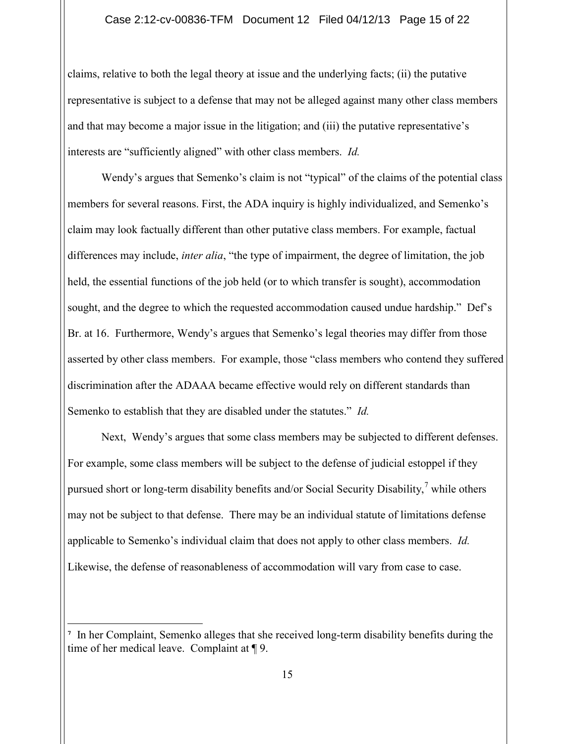#### Case 2:12-cv-00836-TFM Document 12 Filed 04/12/13 Page 15 of 22

claims, relative to both the legal theory at issue and the underlying facts; (ii) the putative representative is subject to a defense that may not be alleged against many other class members and that may become a major issue in the litigation; and (iii) the putative representative's interests are "sufficiently aligned" with other class members. *Id.*

Wendy's argues that Semenko's claim is not "typical" of the claims of the potential class members for several reasons. First, the ADA inquiry is highly individualized, and Semenko's claim may look factually different than other putative class members. For example, factual differences may include, *inter alia*, "the type of impairment, the degree of limitation, the job held, the essential functions of the job held (or to which transfer is sought), accommodation sought, and the degree to which the requested accommodation caused undue hardship." Def's Br. at 16. Furthermore, Wendy's argues that Semenko's legal theories may differ from those asserted by other class members. For example, those "class members who contend they suffered discrimination after the ADAAA became effective would rely on different standards than Semenko to establish that they are disabled under the statutes." *Id.*

Next, Wendy's argues that some class members may be subjected to different defenses. For example, some class members will be subject to the defense of judicial estoppel if they pursued short or long-term disability benefits and/or Social Security Disability,<sup>7</sup> while others may not be subject to that defense. There may be an individual statute of limitations defense applicable to Semenko's individual claim that does not apply to other class members. *Id.*  Likewise, the defense of reasonableness of accommodation will vary from case to case.

**<sup>7</sup>** In her Complaint, Semenko alleges that she received long-term disability benefits during the time of her medical leave. Complaint at ¶ 9.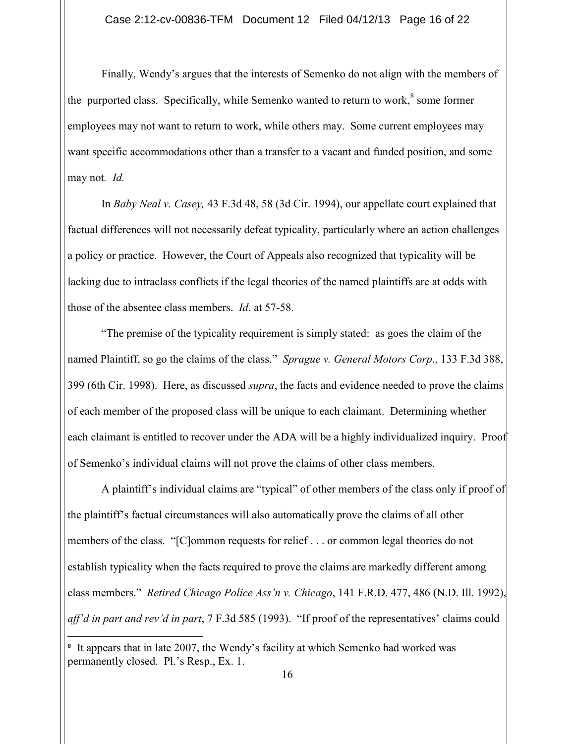Finally, Wendy's argues that the interests of Semenko do not align with the members of the purported class. Specifically, while Semenko wanted to return to work, $8$  some former employees may not want to return to work, while others may. Some current employees may want specific accommodations other than a transfer to a vacant and funded position, and some may not*. Id.*

In *Baby Neal v. Casey,* 43 F.3d 48, 58 (3d Cir. 1994), our appellate court explained that factual differences will not necessarily defeat typicality, particularly where an action challenges a policy or practice. However, the Court of Appeals also recognized that typicality will be lacking due to intraclass conflicts if the legal theories of the named plaintiffs are at odds with those of the absentee class members. *Id*. at 57-58.

"The premise of the typicality requirement is simply stated: as goes the claim of the named Plaintiff, so go the claims of the class." *Sprague v. General Motors Corp*., 133 F.3d 388, 399 (6th Cir. 1998). Here, as discussed *supra*, the facts and evidence needed to prove the claims of each member of the proposed class will be unique to each claimant. Determining whether each claimant is entitled to recover under the ADA will be a highly individualized inquiry. Proof of Semenko's individual claims will not prove the claims of other class members.

A plaintiff's individual claims are "typical" of other members of the class only if proof of the plaintiff's factual circumstances will also automatically prove the claims of all other members of the class. "[C]ommon requests for relief . . . or common legal theories do not establish typicality when the facts required to prove the claims are markedly different among class members." *Retired Chicago Police Ass'n v. Chicago*, 141 F.R.D. 477, 486 (N.D. Ill. 1992), *aff'd in part and rev'd in part*, 7 F.3d 585 (1993). "If proof of the representatives' claims could

<sup>&</sup>lt;sup>8</sup> It appears that in late 2007, the Wendy's facility at which Semenko had worked was permanently closed. Pl.'s Resp., Ex. 1.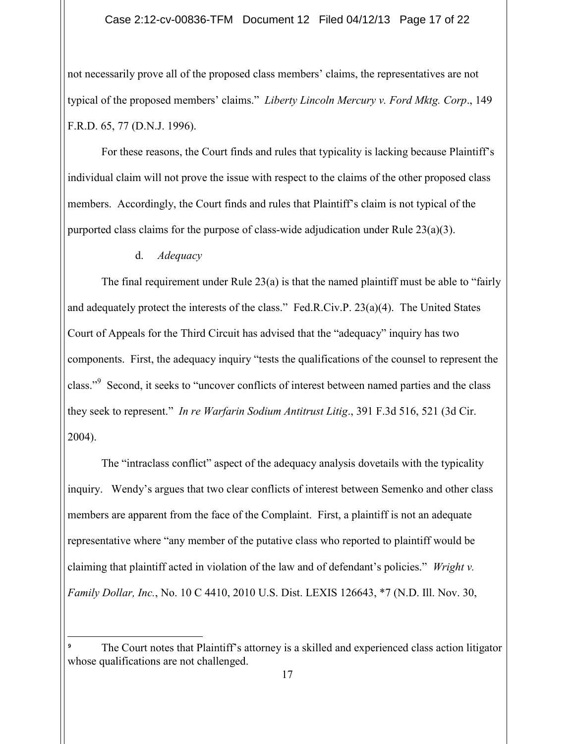#### Case 2:12-cv-00836-TFM Document 12 Filed 04/12/13 Page 17 of 22

not necessarily prove all of the proposed class members' claims, the representatives are not typical of the proposed members' claims." *Liberty Lincoln Mercury v. Ford Mktg. Corp*., 149 F.R.D. 65, 77 (D.N.J. 1996).

For these reasons, the Court finds and rules that typicality is lacking because Plaintiff's individual claim will not prove the issue with respect to the claims of the other proposed class members. Accordingly, the Court finds and rules that Plaintiff's claim is not typical of the purported class claims for the purpose of class-wide adjudication under Rule  $23(a)(3)$ .

d. *Adequacy*

The final requirement under Rule  $23(a)$  is that the named plaintiff must be able to "fairly" and adequately protect the interests of the class." Fed.R.Civ.P. 23(a)(4). The United States Court of Appeals for the Third Circuit has advised that the "adequacy" inquiry has two components. First, the adequacy inquiry "tests the qualifications of the counsel to represent the class."<sup>9</sup> Second, it seeks to "uncover conflicts of interest between named parties and the class they seek to represent." *In re Warfarin Sodium Antitrust Litig*., 391 F.3d 516, 521 (3d Cir. 2004).

The "intraclass conflict" aspect of the adequacy analysis dovetails with the typicality inquiry. Wendy's argues that two clear conflicts of interest between Semenko and other class members are apparent from the face of the Complaint. First, a plaintiff is not an adequate representative where "any member of the putative class who reported to plaintiff would be claiming that plaintiff acted in violation of the law and of defendant's policies." *Wright v. Family Dollar, Inc.*, No. 10 C 4410, 2010 U.S. Dist. LEXIS 126643, \*7 (N.D. Ill. Nov. 30,

The Court notes that Plaintiff's attorney is a skilled and experienced class action litigator whose qualifications are not challenged.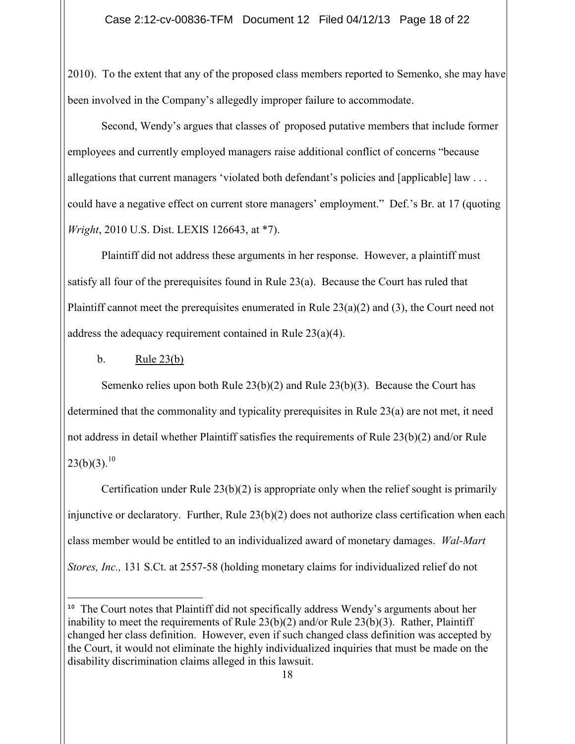2010). To the extent that any of the proposed class members reported to Semenko, she may have been involved in the Company's allegedly improper failure to accommodate.

Second, Wendy's argues that classes of proposed putative members that include former employees and currently employed managers raise additional conflict of concerns "because allegations that current managers 'violated both defendant's policies and [applicable] law . . . could have a negative effect on current store managers' employment." Def.'s Br. at 17 (quoting *Wright*, 2010 U.S. Dist. LEXIS 126643, at \*7).

Plaintiff did not address these arguments in her response. However, a plaintiff must satisfy all four of the prerequisites found in Rule 23(a). Because the Court has ruled that Plaintiff cannot meet the prerequisites enumerated in Rule  $23(a)(2)$  and (3), the Court need not address the adequacy requirement contained in Rule 23(a)(4).

b. Rule  $23(b)$ 

Semenko relies upon both Rule 23(b)(2) and Rule 23(b)(3). Because the Court has determined that the commonality and typicality prerequisites in Rule 23(a) are not met, it need not address in detail whether Plaintiff satisfies the requirements of Rule 23(b)(2) and/or Rule  $23(b)(3).^{10}$ 

Certification under Rule  $23(b)(2)$  is appropriate only when the relief sought is primarily injunctive or declaratory. Further, Rule 23(b)(2) does not authorize class certification when each class member would be entitled to an individualized award of monetary damages. *Wal-Mart Stores, Inc.,* 131 S.Ct. at 2557-58 (holding monetary claims for individualized relief do not

**<sup>10</sup>** The Court notes that Plaintiff did not specifically address Wendy's arguments about her inability to meet the requirements of Rule 23(b)(2) and/or Rule 23(b)(3). Rather, Plaintiff changed her class definition. However, even if such changed class definition was accepted by the Court, it would not eliminate the highly individualized inquiries that must be made on the disability discrimination claims alleged in this lawsuit.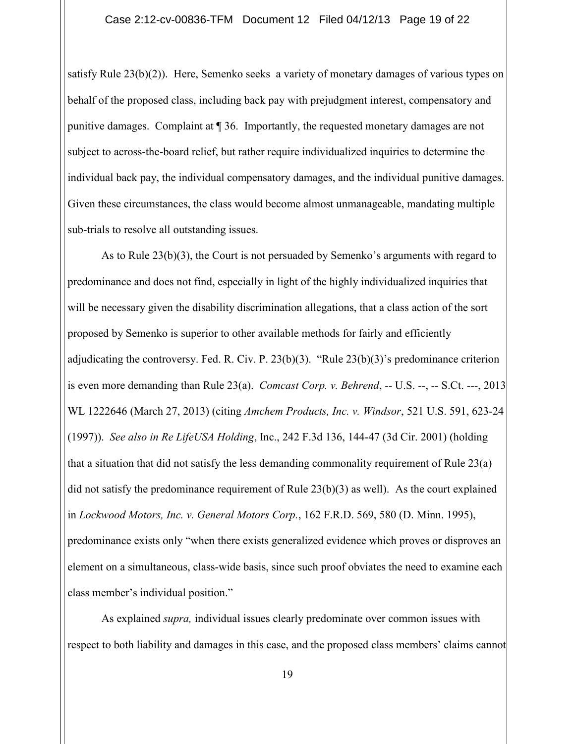satisfy Rule 23(b)(2)). Here, Semenko seeks a variety of monetary damages of various types on behalf of the proposed class, including back pay with prejudgment interest, compensatory and punitive damages. Complaint at ¶ 36. Importantly, the requested monetary damages are not subject to across-the-board relief, but rather require individualized inquiries to determine the individual back pay, the individual compensatory damages, and the individual punitive damages. Given these circumstances, the class would become almost unmanageable, mandating multiple sub-trials to resolve all outstanding issues.

As to Rule 23(b)(3), the Court is not persuaded by Semenko's arguments with regard to predominance and does not find, especially in light of the highly individualized inquiries that will be necessary given the disability discrimination allegations, that a class action of the sort proposed by Semenko is superior to other available methods for fairly and efficiently adjudicating the controversy. Fed. R. Civ. P. 23(b)(3). "Rule 23(b)(3)'s predominance criterion is even more demanding than Rule 23(a). *Comcast Corp. v. Behrend*, -- U.S. --, -- S.Ct. ---, 2013 WL 1222646 (March 27, 2013) (citing *Amchem Products, Inc. v. Windsor*, 521 U.S. 591, 623-24 (1997)). *See also in Re LifeUSA Holding*, Inc., 242 F.3d 136, 144-47 (3d Cir. 2001) (holding that a situation that did not satisfy the less demanding commonality requirement of Rule 23(a) did not satisfy the predominance requirement of Rule 23(b)(3) as well). As the court explained in *Lockwood Motors, Inc. v. General Motors Corp.*, 162 F.R.D. 569, 580 (D. Minn. 1995), predominance exists only "when there exists generalized evidence which proves or disproves an element on a simultaneous, class-wide basis, since such proof obviates the need to examine each class member's individual position."

As explained *supra,* individual issues clearly predominate over common issues with respect to both liability and damages in this case, and the proposed class members' claims cannot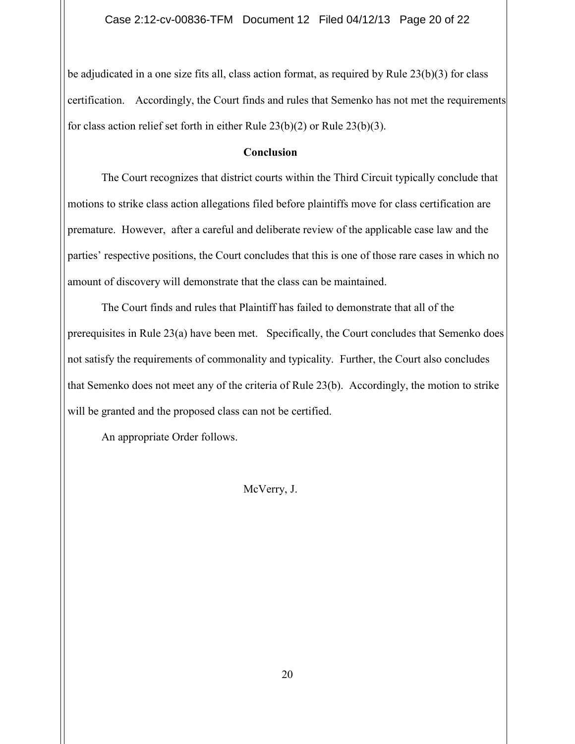be adjudicated in a one size fits all, class action format, as required by Rule 23(b)(3) for class certification. Accordingly, the Court finds and rules that Semenko has not met the requirements for class action relief set forth in either Rule 23(b)(2) or Rule 23(b)(3).

#### **Conclusion**

The Court recognizes that district courts within the Third Circuit typically conclude that motions to strike class action allegations filed before plaintiffs move for class certification are premature. However, after a careful and deliberate review of the applicable case law and the parties' respective positions, the Court concludes that this is one of those rare cases in which no amount of discovery will demonstrate that the class can be maintained.

The Court finds and rules that Plaintiff has failed to demonstrate that all of the prerequisites in Rule 23(a) have been met. Specifically, the Court concludes that Semenko does not satisfy the requirements of commonality and typicality. Further, the Court also concludes that Semenko does not meet any of the criteria of Rule 23(b). Accordingly, the motion to strike will be granted and the proposed class can not be certified.

An appropriate Order follows.

## McVerry, J.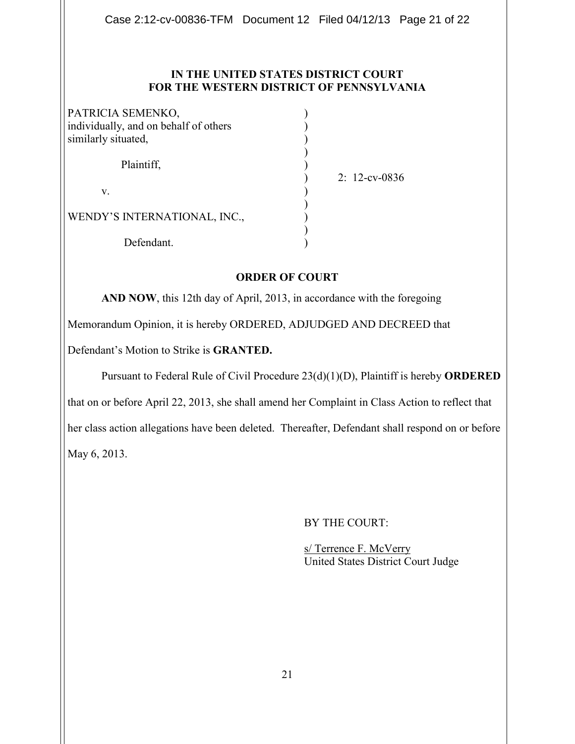## **IN THE UNITED STATES DISTRICT COURT FOR THE WESTERN DISTRICT OF PENNSYLVANIA**

| PATRICIA SEMENKO,                     |  |
|---------------------------------------|--|
| individually, and on behalf of others |  |
| similarly situated,                   |  |
|                                       |  |
| Plaintiff,                            |  |
|                                       |  |
| V.                                    |  |
|                                       |  |
| WENDY'S INTERNATIONAL, INC.,          |  |
|                                       |  |
| Defendant.                            |  |

) 2: 12-cv-0836

# **ORDER OF COURT**

**AND NOW**, this 12th day of April, 2013, in accordance with the foregoing

Memorandum Opinion, it is hereby ORDERED, ADJUDGED AND DECREED that

Defendant's Motion to Strike is **GRANTED.** 

Pursuant to Federal Rule of Civil Procedure 23(d)(1)(D), Plaintiff is hereby **ORDERED**

that on or before April 22, 2013, she shall amend her Complaint in Class Action to reflect that

her class action allegations have been deleted. Thereafter, Defendant shall respond on or before May 6, 2013.

BY THE COURT:

s/ Terrence F. McVerry United States District Court Judge